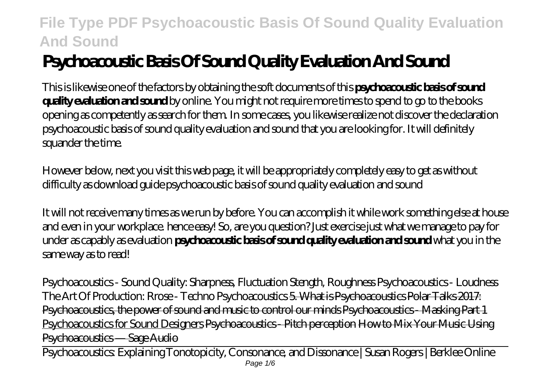# **Psychoacoustic Basis Of Sound Quality Evaluation And Sound**

This is likewise one of the factors by obtaining the soft documents of this **psychoacoustic basis of sound quality evaluation and sound** by online. You might not require more times to spend to go to the books opening as competently as search for them. In some cases, you likewise realize not discover the declaration psychoacoustic basis of sound quality evaluation and sound that you are looking for. It will definitely squander the time.

However below, next you visit this web page, it will be appropriately completely easy to get as without difficulty as download guide psychoacoustic basis of sound quality evaluation and sound

It will not receive many times as we run by before. You can accomplish it while work something else at house and even in your workplace. hence easy! So, are you question? Just exercise just what we manage to pay for under as capably as evaluation **psychoacoustic basis of sound quality evaluation and sound** what you in the same way as to read!

*Psychoacoustics - Sound Quality: Sharpness, Fluctuation Stength, Roughness* Psychoacoustics - Loudness The Art Of Production: Rrose - Techno Psychoacoustics 5 What is Psychoacoustics Polar Talks 2017: Psychoacoustics, the power of sound and music to control our minds Psychoacoustics - Masking Part 1 Psychoacoustics for Sound Designers Psychoacoustics - Pitch perception How to Mix Your Music Using Psychoacoustics — Sage Audio

Psychoacoustics: Explaining Tonotopicity, Consonance, and Dissonance | Susan Rogers | Berklee Online Page  $1/6$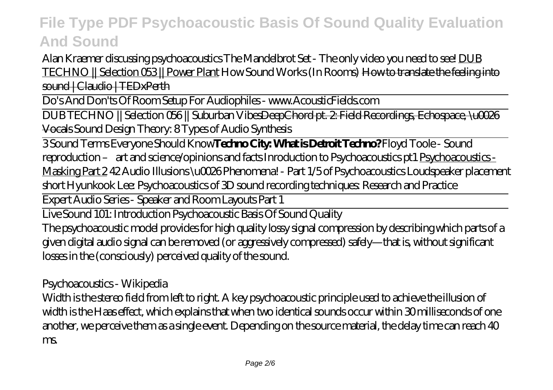*Alan Kraemer discussing psychoacoustics* The Mandelbrot Set - The only video you need to see! DUB TECHNO || Selection 053 || Power Plant How Sound Works (In Rooms) How to translate the feeling into sound | Claudio | TEDxPerth

Do's And Don'ts Of Room Setup For Audiophiles - www.AcousticFields.com

DUB TECHNO || Selection 056 || Suburban VibesDeepChord pt. 2: Field Recordings, Echospace, \u0026 Vocals Sound Design Theory: 8 Types of Audio Synthesis

3 Sound Terms Everyone Should Know**Techno City: What is Detroit Techno?** *Floyd Toole - Sound reproduction – art and science/opinions and facts Inroduction to Psychoacoustics pt1* Psychoacoustics - Masking Part 2 *42 Audio Illusions \u0026 Phenomena! - Part 1/5 of Psychoacoustics* Loudspeaker placement short Hyunkook Lee: Psychoacoustics of 3D sound recording techniques: Research and Practice

Expert Audio Series - Speaker and Room Layouts Part 1

Live Sound 101: Introduction Psychoacoustic Basis Of Sound Quality

The psychoacoustic model provides for high quality lossy signal compression by describing which parts of a given digital audio signal can be removed (or aggressively compressed) safely—that is, without significant losses in the (consciously) perceived quality of the sound.

Psychoacoustics - Wikipedia

Width is the stereo field from left to right. A key psychoacoustic principle used to achieve the illusion of width is the Haas effect, which explains that when two identical sounds occur within 30 milliseconds of one another, we perceive them as a single event. Depending on the source material, the delay time can reach 40 ms.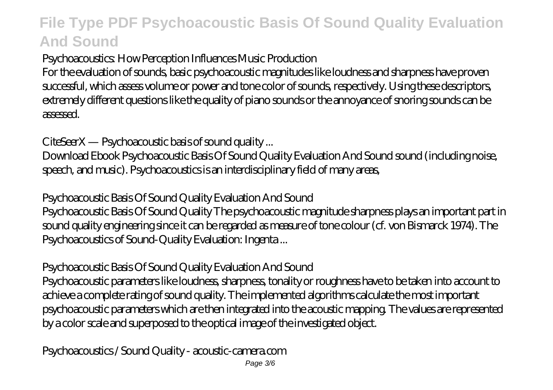Psychoacoustics: How Perception Influences Music Production

For the evaluation of sounds, basic psychoacoustic magnitudes like loudness and sharpness have proven successful, which assess volume or power and tone color of sounds, respectively. Using these descriptors, extremely different questions like the quality of piano sounds or the annoyance of snoring sounds can be assessed.

CiteSeerX — Psychoacoustic basis of sound quality ...

Download Ebook Psychoacoustic Basis Of Sound Quality Evaluation And Sound sound (including noise, speech, and music). Psychoacoustics is an interdisciplinary field of many areas,

Psychoacoustic Basis Of Sound Quality Evaluation And Sound

Psychoacoustic Basis Of Sound Quality The psychoacoustic magnitude sharpness plays an important part in sound quality engineering since it can be regarded as measure of tone colour (cf. von Bismarck 1974). The Psychoacoustics of Sound-Quality Evaluation: Ingenta ...

Psychoacoustic Basis Of Sound Quality Evaluation And Sound

Psychoacoustic parameters like loudness, sharpness, tonality or roughness have to be taken into account to achieve a complete rating of sound quality. The implemented algorithms calculate the most important psychoacoustic parameters which are then integrated into the acoustic mapping. The values are represented by a color scale and superposed to the optical image of the investigated object.

Psychoacoustics / Sound Quality - acoustic-camera.com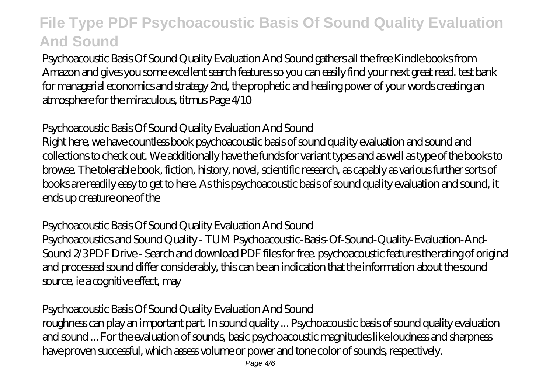Psychoacoustic Basis Of Sound Quality Evaluation And Sound gathers all the free Kindle books from Amazon and gives you some excellent search features so you can easily find your next great read. test bank for managerial economics and strategy 2nd, the prophetic and healing power of your words creating an atmosphere for the miraculous, titmus Page 4/10

### Psychoacoustic Basis Of Sound Quality Evaluation And Sound

Right here, we have countless book psychoacoustic basis of sound quality evaluation and sound and collections to check out. We additionally have the funds for variant types and as well as type of the books to browse. The tolerable book, fiction, history, novel, scientific research, as capably as various further sorts of books are readily easy to get to here. As this psychoacoustic basis of sound quality evaluation and sound, it ends up creature one of the

#### Psychoacoustic Basis Of Sound Quality Evaluation And Sound

Psychoacoustics and Sound Quality - TUM Psychoacoustic-Basis-Of-Sound-Quality-Evaluation-And-Sound 2/3 PDF Drive - Search and download PDF files for free. psychoacoustic features the rating of original and processed sound differ considerably, this can be an indication that the information about the sound source, ie a cognitive effect, may

### Psychoacoustic Basis Of Sound Quality Evaluation And Sound

roughness can play an important part. In sound quality ... Psychoacoustic basis of sound quality evaluation and sound ... For the evaluation of sounds, basic psychoacoustic magnitudes like loudness and sharpness have proven successful, which assess volume or power and tone color of sounds, respectively.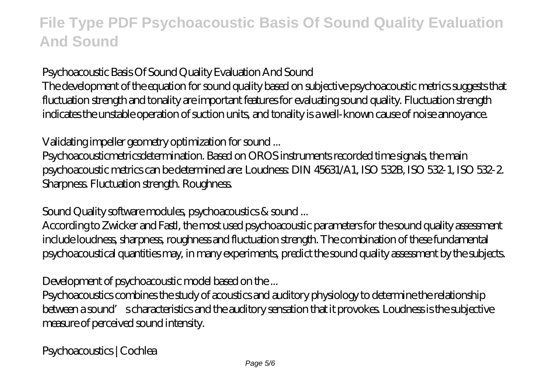Psychoacoustic Basis Of Sound Quality Evaluation And Sound

The development of the equation for sound quality based on subjective psychoacoustic metrics suggests that fluctuation strength and tonality are important features for evaluating sound quality. Fluctuation strength indicates the unstable operation of suction units, and tonality is a well-known cause of noise annoyance.

Validating impeller geometry optimization for sound ...

Psychoacousticmetricsdetermination. Based on OROS instruments recorded time signals, the main psychoacoustic metrics can be determined are: Loudness: DIN 45631/A1, ISO 532B, ISO 532-1, ISO 532-2. Sharpness. Fluctuation strength. Roughness.

Sound Quality software modules, psychoacoustics & sound ...

According to Zwicker and Fastl, the most used psychoacoustic parameters for the sound quality assessment include loudness, sharpness, roughness and fluctuation strength. The combination of these fundamental psychoacoustical quantities may, in many experiments, predict the sound quality assessment by the subjects.

Development of psychoacoustic model based on the ...

Psychoacoustics combines the study of acoustics and auditory physiology to determine the relationship between a sound' scharacteristics and the auditory sensation that it provokes. Loudness is the subjective measure of perceived sound intensity.

Psychoacoustics | Cochlea